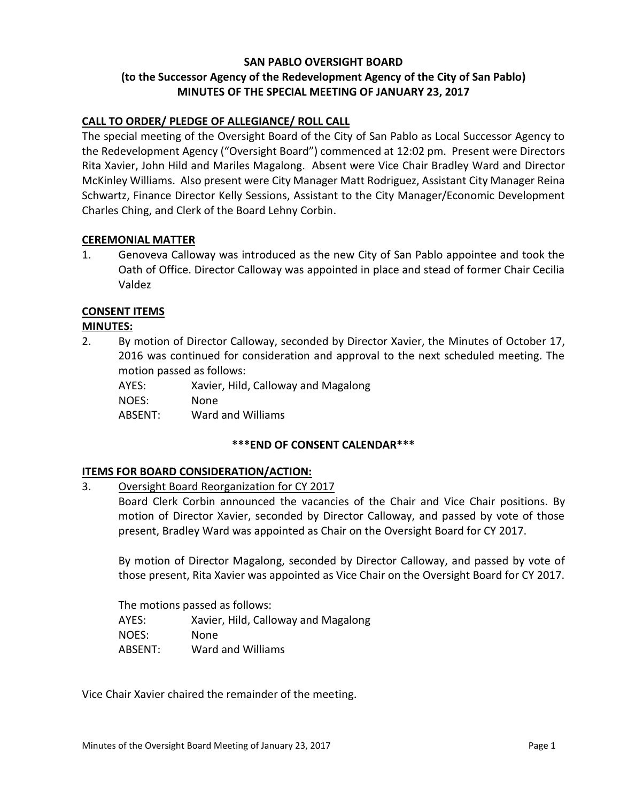# **SAN PABLO OVERSIGHT BOARD (to the Successor Agency of the Redevelopment Agency of the City of San Pablo) MINUTES OF THE SPECIAL MEETING OF JANUARY 23, 2017**

# **CALL TO ORDER/ PLEDGE OF ALLEGIANCE/ ROLL CALL**

The special meeting of the Oversight Board of the City of San Pablo as Local Successor Agency to the Redevelopment Agency ("Oversight Board") commenced at 12:02 pm. Present were Directors Rita Xavier, John Hild and Mariles Magalong. Absent were Vice Chair Bradley Ward and Director McKinley Williams. Also present were City Manager Matt Rodriguez, Assistant City Manager Reina Schwartz, Finance Director Kelly Sessions, Assistant to the City Manager/Economic Development Charles Ching, and Clerk of the Board Lehny Corbin.

#### **CEREMONIAL MATTER**

1. Genoveva Calloway was introduced as the new City of San Pablo appointee and took the Oath of Office. Director Calloway was appointed in place and stead of former Chair Cecilia Valdez

#### **CONSENT ITEMS**

#### **MINUTES:**

2. By motion of Director Calloway, seconded by Director Xavier, the Minutes of October 17, 2016 was continued for consideration and approval to the next scheduled meeting. The motion passed as follows:

| AYES:   | Xavier, Hild, Calloway and Magalong |
|---------|-------------------------------------|
| NOES:   | None                                |
| ABSENT: | Ward and Williams                   |

## **\*\*\*END OF CONSENT CALENDAR\*\*\***

#### **ITEMS FOR BOARD CONSIDERATION/ACTION:**

# 3. Oversight Board Reorganization for CY 2017

Board Clerk Corbin announced the vacancies of the Chair and Vice Chair positions. By motion of Director Xavier, seconded by Director Calloway, and passed by vote of those present, Bradley Ward was appointed as Chair on the Oversight Board for CY 2017.

By motion of Director Magalong, seconded by Director Calloway, and passed by vote of those present, Rita Xavier was appointed as Vice Chair on the Oversight Board for CY 2017.

The motions passed as follows: AYES: Xavier, Hild, Calloway and Magalong NOES: None ABSENT: Ward and Williams

Vice Chair Xavier chaired the remainder of the meeting.